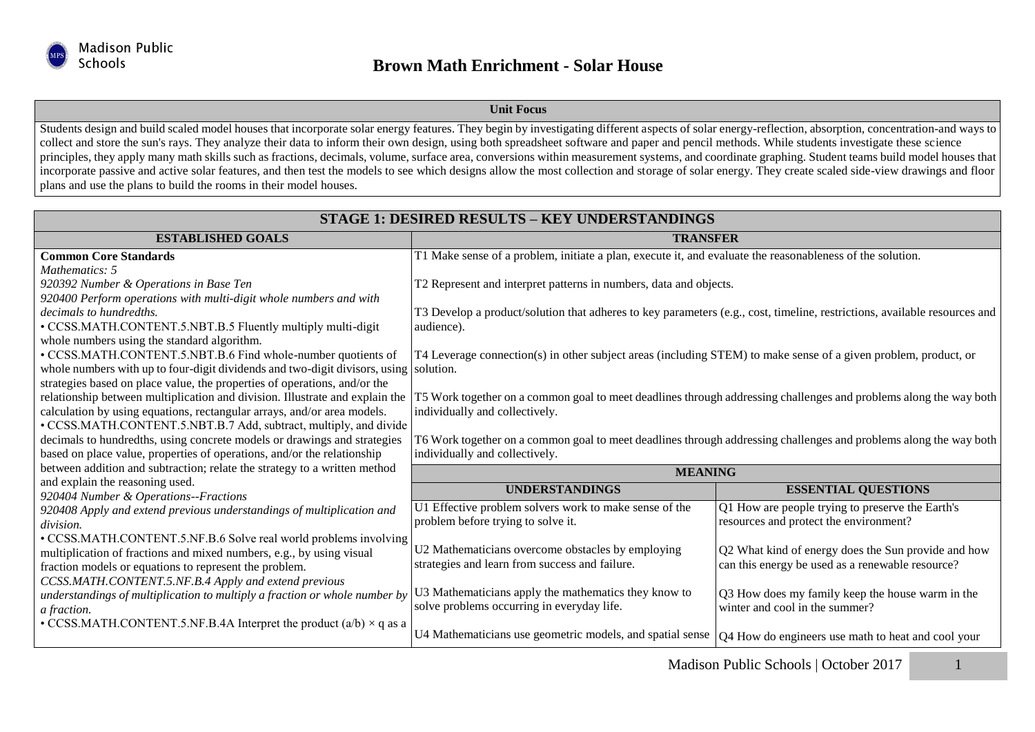

## **Unit Focus**

Students design and build scaled model houses that incorporate solar energy features. They begin by investigating different aspects of solar energy-reflection, absorption, concentration-and ways to collect and store the sun's rays. They analyze their data to inform their own design, using both spreadsheet software and paper and pencil methods. While students investigate these science principles, they apply many math skills such as fractions, decimals, volume, surface area, conversions within measurement systems, and coordinate graphing. Student teams build model houses that incorporate passive and active solar features, and then test the models to see which designs allow the most collection and storage of solar energy. They create scaled side-view drawings and floor plans and use the plans to build the rooms in their model houses.

| <b>STAGE 1: DESIRED RESULTS - KEY UNDERSTANDINGS</b>                                      |                                                                                                                           |                                                     |  |  |
|-------------------------------------------------------------------------------------------|---------------------------------------------------------------------------------------------------------------------------|-----------------------------------------------------|--|--|
| <b>ESTABLISHED GOALS</b>                                                                  | <b>TRANSFER</b>                                                                                                           |                                                     |  |  |
| <b>Common Core Standards</b>                                                              | T1 Make sense of a problem, initiate a plan, execute it, and evaluate the reasonableness of the solution.                 |                                                     |  |  |
| Mathematics: 5                                                                            |                                                                                                                           |                                                     |  |  |
| 920392 Number & Operations in Base Ten                                                    | T2 Represent and interpret patterns in numbers, data and objects.                                                         |                                                     |  |  |
| 920400 Perform operations with multi-digit whole numbers and with                         |                                                                                                                           |                                                     |  |  |
| decimals to hundredths.                                                                   | T3 Develop a product/solution that adheres to key parameters (e.g., cost, timeline, restrictions, available resources and |                                                     |  |  |
| • CCSS.MATH.CONTENT.5.NBT.B.5 Fluently multiply multi-digit                               | audience).                                                                                                                |                                                     |  |  |
| whole numbers using the standard algorithm.                                               |                                                                                                                           |                                                     |  |  |
| • CCSS.MATH.CONTENT.5.NBT.B.6 Find whole-number quotients of                              | T4 Leverage connection(s) in other subject areas (including STEM) to make sense of a given problem, product, or           |                                                     |  |  |
| whole numbers with up to four-digit dividends and two-digit divisors, using solution.     |                                                                                                                           |                                                     |  |  |
| strategies based on place value, the properties of operations, and/or the                 |                                                                                                                           |                                                     |  |  |
| relationship between multiplication and division. Illustrate and explain the              | T5 Work together on a common goal to meet deadlines through addressing challenges and problems along the way both         |                                                     |  |  |
| calculation by using equations, rectangular arrays, and/or area models.                   | individually and collectively.                                                                                            |                                                     |  |  |
| • CCSS.MATH.CONTENT.5.NBT.B.7 Add, subtract, multiply, and divide                         |                                                                                                                           |                                                     |  |  |
| decimals to hundredths, using concrete models or drawings and strategies                  | T6 Work together on a common goal to meet deadlines through addressing challenges and problems along the way both         |                                                     |  |  |
| based on place value, properties of operations, and/or the relationship                   | individually and collectively.                                                                                            |                                                     |  |  |
| between addition and subtraction; relate the strategy to a written method                 | <b>MEANING</b>                                                                                                            |                                                     |  |  |
| and explain the reasoning used.                                                           | <b>UNDERSTANDINGS</b>                                                                                                     | <b>ESSENTIAL QUESTIONS</b>                          |  |  |
| 920404 Number & Operations--Fractions                                                     | U1 Effective problem solvers work to make sense of the                                                                    | Q1 How are people trying to preserve the Earth's    |  |  |
| 920408 Apply and extend previous understandings of multiplication and                     | problem before trying to solve it.                                                                                        | resources and protect the environment?              |  |  |
| division.                                                                                 |                                                                                                                           |                                                     |  |  |
| • CCSS.MATH.CONTENT.5.NF.B.6 Solve real world problems involving                          | U2 Mathematicians overcome obstacles by employing                                                                         | Q2 What kind of energy does the Sun provide and how |  |  |
| multiplication of fractions and mixed numbers, e.g., by using visual                      | strategies and learn from success and failure.                                                                            | can this energy be used as a renewable resource?    |  |  |
| fraction models or equations to represent the problem.                                    |                                                                                                                           |                                                     |  |  |
| CCSS.MATH.CONTENT.5.NF.B.4 Apply and extend previous                                      | U3 Mathematicians apply the mathematics they know to                                                                      | Q3 How does my family keep the house warm in the    |  |  |
| understandings of multiplication to multiply a fraction or whole number by<br>a fraction. | solve problems occurring in everyday life.                                                                                | winter and cool in the summer?                      |  |  |
| • CCSS.MATH.CONTENT.5.NF.B.4A Interpret the product $(a/b) \times q$ as a                 |                                                                                                                           |                                                     |  |  |
|                                                                                           | U4 Mathematicians use geometric models, and spatial sense                                                                 | Q4 How do engineers use math to heat and cool your  |  |  |
|                                                                                           |                                                                                                                           |                                                     |  |  |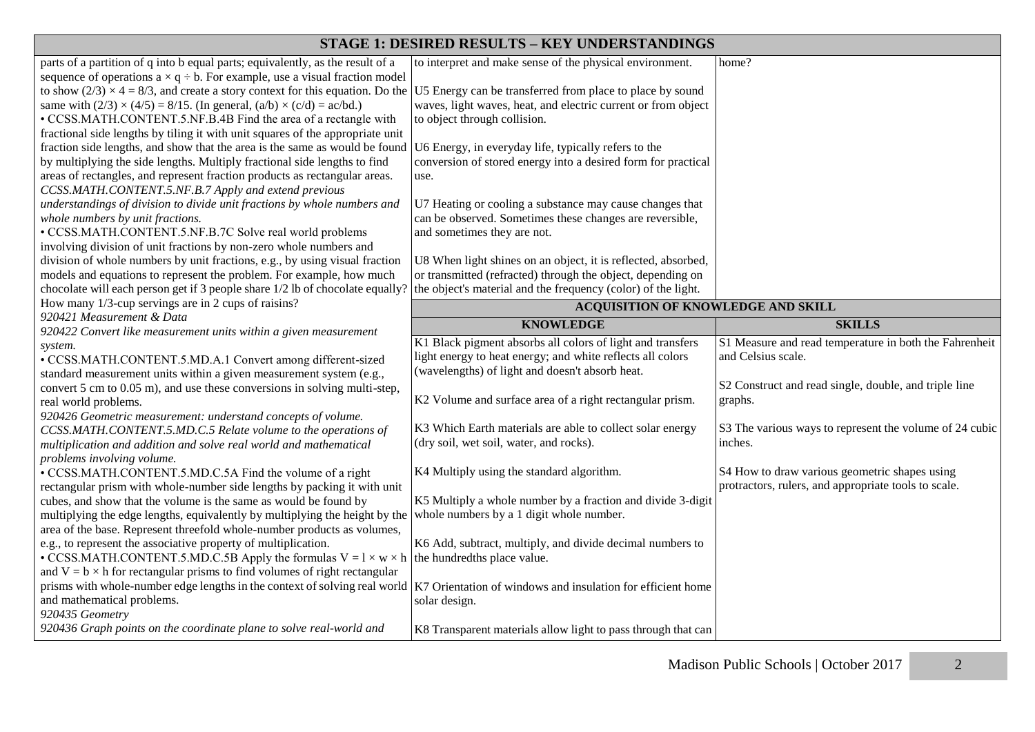| STAGE 1: DESIRED RESULTS - KEY UNDERSTANDINGS                                                                                                                                              |                                                                                                                              |                                                                                                       |  |  |
|--------------------------------------------------------------------------------------------------------------------------------------------------------------------------------------------|------------------------------------------------------------------------------------------------------------------------------|-------------------------------------------------------------------------------------------------------|--|--|
| parts of a partition of q into b equal parts; equivalently, as the result of a<br>sequence of operations $a \times q \div b$ . For example, use a visual fraction model                    | to interpret and make sense of the physical environment.                                                                     | home?                                                                                                 |  |  |
| to show (2/3) $\times$ 4 = 8/3, and create a story context for this equation. Do the<br>same with $(2/3) \times (4/5) = 8/15$ . (In general, $(a/b) \times (c/d) = ac/bd$ .)               | U5 Energy can be transferred from place to place by sound<br>waves, light waves, heat, and electric current or from object   |                                                                                                       |  |  |
| • CCSS.MATH.CONTENT.5.NF.B.4B Find the area of a rectangle with<br>fractional side lengths by tiling it with unit squares of the appropriate unit                                          | to object through collision.                                                                                                 |                                                                                                       |  |  |
| fraction side lengths, and show that the area is the same as would be found<br>by multiplying the side lengths. Multiply fractional side lengths to find                                   | U6 Energy, in everyday life, typically refers to the<br>conversion of stored energy into a desired form for practical        |                                                                                                       |  |  |
| areas of rectangles, and represent fraction products as rectangular areas.<br>CCSS.MATH.CONTENT.5.NF.B.7 Apply and extend previous                                                         | use.                                                                                                                         |                                                                                                       |  |  |
| understandings of division to divide unit fractions by whole numbers and<br>whole numbers by unit fractions.                                                                               | U7 Heating or cooling a substance may cause changes that<br>can be observed. Sometimes these changes are reversible,         |                                                                                                       |  |  |
| • CCSS.MATH.CONTENT.5.NF.B.7C Solve real world problems<br>involving division of unit fractions by non-zero whole numbers and                                                              | and sometimes they are not.                                                                                                  |                                                                                                       |  |  |
| division of whole numbers by unit fractions, e.g., by using visual fraction                                                                                                                | U8 When light shines on an object, it is reflected, absorbed,                                                                |                                                                                                       |  |  |
| models and equations to represent the problem. For example, how much<br>chocolate will each person get if 3 people share 1/2 lb of chocolate equally?                                      | or transmitted (refracted) through the object, depending on<br>the object's material and the frequency (color) of the light. |                                                                                                       |  |  |
| How many 1/3-cup servings are in 2 cups of raisins?                                                                                                                                        | ACQUISITION OF KNOWLEDGE AND SKILL                                                                                           |                                                                                                       |  |  |
| 920421 Measurement & Data<br>920422 Convert like measurement units within a given measurement                                                                                              | <b>KNOWLEDGE</b>                                                                                                             | <b>SKILLS</b>                                                                                         |  |  |
| system.                                                                                                                                                                                    | K1 Black pigment absorbs all colors of light and transfers                                                                   | S1 Measure and read temperature in both the Fahrenheit                                                |  |  |
| · CCSS.MATH.CONTENT.5.MD.A.1 Convert among different-sized                                                                                                                                 | light energy to heat energy; and white reflects all colors                                                                   | and Celsius scale.                                                                                    |  |  |
| standard measurement units within a given measurement system (e.g.,                                                                                                                        | (wavelengths) of light and doesn't absorb heat.                                                                              |                                                                                                       |  |  |
| convert 5 cm to 0.05 m), and use these conversions in solving multi-step,                                                                                                                  |                                                                                                                              | S2 Construct and read single, double, and triple line                                                 |  |  |
| real world problems.                                                                                                                                                                       | K2 Volume and surface area of a right rectangular prism.                                                                     | graphs.                                                                                               |  |  |
| 920426 Geometric measurement: understand concepts of volume.                                                                                                                               |                                                                                                                              |                                                                                                       |  |  |
| CCSS.MATH.CONTENT.5.MD.C.5 Relate volume to the operations of                                                                                                                              | K3 Which Earth materials are able to collect solar energy<br>(dry soil, wet soil, water, and rocks).                         | S3 The various ways to represent the volume of 24 cubic<br>inches.                                    |  |  |
| multiplication and addition and solve real world and mathematical<br>problems involving volume.                                                                                            |                                                                                                                              |                                                                                                       |  |  |
| • CCSS.MATH.CONTENT.5.MD.C.5A Find the volume of a right<br>rectangular prism with whole-number side lengths by packing it with unit                                                       | K4 Multiply using the standard algorithm.                                                                                    | S4 How to draw various geometric shapes using<br>protractors, rulers, and appropriate tools to scale. |  |  |
| cubes, and show that the volume is the same as would be found by                                                                                                                           | K5 Multiply a whole number by a fraction and divide 3-digit                                                                  |                                                                                                       |  |  |
| multiplying the edge lengths, equivalently by multiplying the height by the<br>area of the base. Represent threefold whole-number products as volumes,                                     | whole numbers by a 1 digit whole number.                                                                                     |                                                                                                       |  |  |
| e.g., to represent the associative property of multiplication.                                                                                                                             |                                                                                                                              |                                                                                                       |  |  |
|                                                                                                                                                                                            | K6 Add, subtract, multiply, and divide decimal numbers to                                                                    |                                                                                                       |  |  |
| • CCSS.MATH.CONTENT.5.MD.C.5B Apply the formulas $V = 1 \times w \times h$ the hundredths place value.<br>and $V = b \times h$ for rectangular prisms to find volumes of right rectangular |                                                                                                                              |                                                                                                       |  |  |
| prisms with whole-number edge lengths in the context of solving real world $ K7$ Orientation of windows and insulation for efficient home                                                  |                                                                                                                              |                                                                                                       |  |  |
| and mathematical problems.                                                                                                                                                                 | solar design.                                                                                                                |                                                                                                       |  |  |
| 920435 Geometry<br>920436 Graph points on the coordinate plane to solve real-world and                                                                                                     | K8 Transparent materials allow light to pass through that can                                                                |                                                                                                       |  |  |